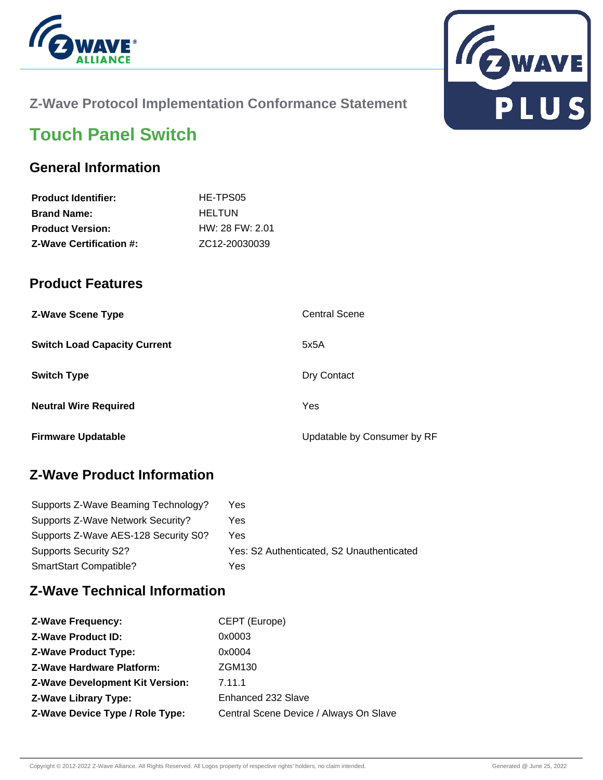



# **Z-Wave Protocol Implementation Conformance Statement**

# **Touch Panel Switch**

### **General Information**

| <b>Product Identifier:</b>     | HE-TPS05            |
|--------------------------------|---------------------|
| <b>Brand Name:</b>             | <b>HELTUN</b>       |
| <b>Product Version:</b>        | $HW: 28$ FW: $2.01$ |
| <b>Z-Wave Certification #:</b> | ZC12-20030039       |

### **Product Features**

| <b>Z-Wave Scene Type</b>            | <b>Central Scene</b>        |
|-------------------------------------|-----------------------------|
| <b>Switch Load Capacity Current</b> | 5x5A                        |
| <b>Switch Type</b>                  | Dry Contact                 |
| <b>Neutral Wire Required</b>        | Yes                         |
| <b>Firmware Updatable</b>           | Updatable by Consumer by RF |

# **Z-Wave Product Information**

| Supports Z-Wave Beaming Technology?  | Yes                                       |
|--------------------------------------|-------------------------------------------|
| Supports Z-Wave Network Security?    | Yes                                       |
| Supports Z-Wave AES-128 Security S0? | Yes                                       |
| <b>Supports Security S2?</b>         | Yes: S2 Authenticated, S2 Unauthenticated |
| SmartStart Compatible?               | Yes                                       |

## **Z-Wave Technical Information**

| <b>Z-Wave Frequency:</b>               | CEPT (Europe)                          |
|----------------------------------------|----------------------------------------|
| <b>Z-Wave Product ID:</b>              | 0x0003                                 |
| <b>Z-Wave Product Type:</b>            | 0x0004                                 |
| <b>Z-Wave Hardware Platform:</b>       | <b>ZGM130</b>                          |
| <b>Z-Wave Development Kit Version:</b> | 7.11.1                                 |
| <b>Z-Wave Library Type:</b>            | Enhanced 232 Slave                     |
| Z-Wave Device Type / Role Type:        | Central Scene Device / Always On Slave |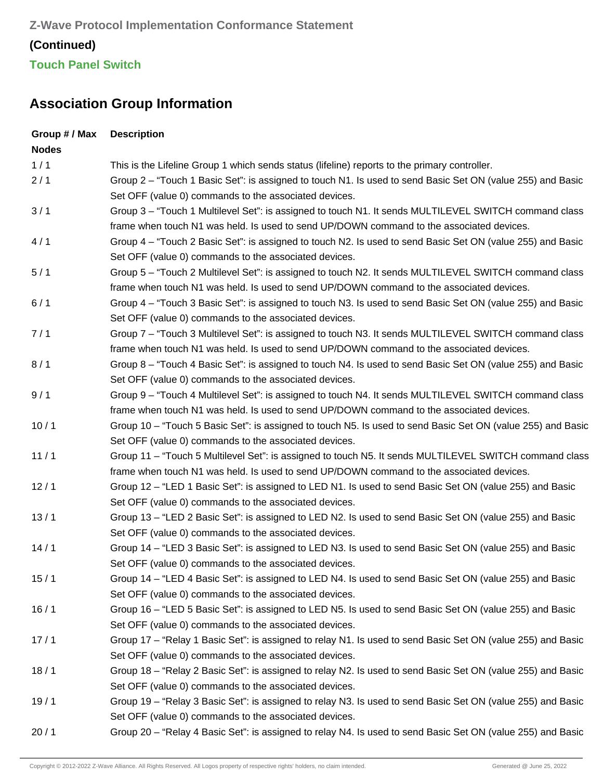# **Association Group Information**

| <b>Description</b>                                                                                          |
|-------------------------------------------------------------------------------------------------------------|
|                                                                                                             |
| This is the Lifeline Group 1 which sends status (lifeline) reports to the primary controller.               |
| Group 2 – "Touch 1 Basic Set": is assigned to touch N1. Is used to send Basic Set ON (value 255) and Basic  |
| Set OFF (value 0) commands to the associated devices.                                                       |
| Group 3 – "Touch 1 Multilevel Set": is assigned to touch N1. It sends MULTILEVEL SWITCH command class       |
| frame when touch N1 was held. Is used to send UP/DOWN command to the associated devices.                    |
| Group 4 – "Touch 2 Basic Set": is assigned to touch N2. Is used to send Basic Set ON (value 255) and Basic  |
| Set OFF (value 0) commands to the associated devices.                                                       |
| Group 5 – "Touch 2 Multilevel Set": is assigned to touch N2. It sends MULTILEVEL SWITCH command class       |
| frame when touch N1 was held. Is used to send UP/DOWN command to the associated devices.                    |
| Group 4 – "Touch 3 Basic Set": is assigned to touch N3. Is used to send Basic Set ON (value 255) and Basic  |
| Set OFF (value 0) commands to the associated devices.                                                       |
| Group 7 – "Touch 3 Multilevel Set": is assigned to touch N3. It sends MULTILEVEL SWITCH command class       |
| frame when touch N1 was held. Is used to send UP/DOWN command to the associated devices.                    |
| Group 8 - "Touch 4 Basic Set": is assigned to touch N4. Is used to send Basic Set ON (value 255) and Basic  |
| Set OFF (value 0) commands to the associated devices.                                                       |
| Group 9 - "Touch 4 Multilevel Set": is assigned to touch N4. It sends MULTILEVEL SWITCH command class       |
| frame when touch N1 was held. Is used to send UP/DOWN command to the associated devices.                    |
| Group 10 – "Touch 5 Basic Set": is assigned to touch N5. Is used to send Basic Set ON (value 255) and Basic |
| Set OFF (value 0) commands to the associated devices.                                                       |
| Group 11 - "Touch 5 Multilevel Set": is assigned to touch N5. It sends MULTILEVEL SWITCH command class      |
| frame when touch N1 was held. Is used to send UP/DOWN command to the associated devices.                    |
| Group 12 – "LED 1 Basic Set": is assigned to LED N1. Is used to send Basic Set ON (value 255) and Basic     |
| Set OFF (value 0) commands to the associated devices.                                                       |
| Group 13 – "LED 2 Basic Set": is assigned to LED N2. Is used to send Basic Set ON (value 255) and Basic     |
| Set OFF (value 0) commands to the associated devices.                                                       |
| Group 14 - "LED 3 Basic Set": is assigned to LED N3. Is used to send Basic Set ON (value 255) and Basic     |
| Set OFF (value 0) commands to the associated devices.                                                       |
| Group 14 – "LED 4 Basic Set": is assigned to LED N4. Is used to send Basic Set ON (value 255) and Basic     |
| Set OFF (value 0) commands to the associated devices.                                                       |
| Group 16 – "LED 5 Basic Set": is assigned to LED N5. Is used to send Basic Set ON (value 255) and Basic     |
| Set OFF (value 0) commands to the associated devices.                                                       |
| Group 17 – "Relay 1 Basic Set": is assigned to relay N1. Is used to send Basic Set ON (value 255) and Basic |
| Set OFF (value 0) commands to the associated devices.                                                       |
| Group 18 – "Relay 2 Basic Set": is assigned to relay N2. Is used to send Basic Set ON (value 255) and Basic |
| Set OFF (value 0) commands to the associated devices.                                                       |
| Group 19 – "Relay 3 Basic Set": is assigned to relay N3. Is used to send Basic Set ON (value 255) and Basic |
| Set OFF (value 0) commands to the associated devices.                                                       |
|                                                                                                             |

20 / 1 Group 20 – "Relay 4 Basic Set": is assigned to relay N4. Is used to send Basic Set ON (value 255) and Basic